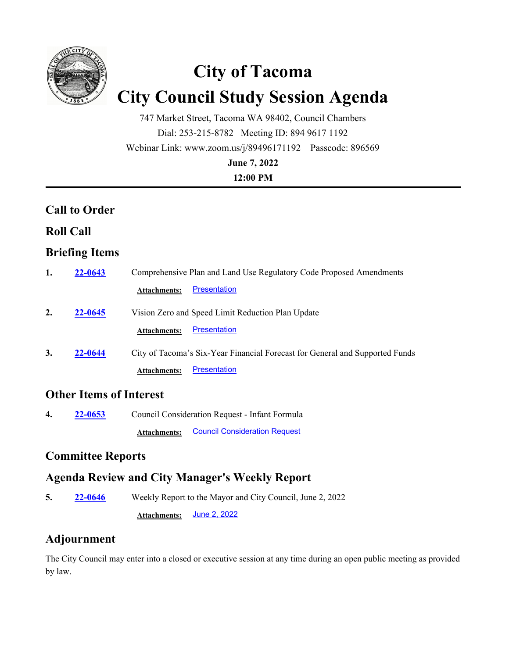

# **City of Tacoma City Council Study Session Agenda**

747 Market Street, Tacoma WA 98402, Council Chambers Dial: 253-215-8782 Meeting ID: 894 9617 1192 Webinar Link: www.zoom.us/j/89496171192 Passcode: 896569 **June 7, 2022**

#### **12:00 PM**

### **Call to Order**

#### **Roll Call**

### **Briefing Items**

| 1. | 22-0643 | Comprehensive Plan and Land Use Regulatory Code Proposed Amendments          |
|----|---------|------------------------------------------------------------------------------|
|    |         | <b>Presentation</b><br><b>Attachments:</b>                                   |
| 2. | 22-0645 | Vision Zero and Speed Limit Reduction Plan Update                            |
|    |         | <b>Presentation</b><br><b>Attachments:</b>                                   |
| 3. | 22-0644 | City of Tacoma's Six-Year Financial Forecast for General and Supported Funds |
|    |         | <b>Presentation</b><br><b>Attachments:</b>                                   |

### **Other Items of Interest**

**4. 22-0653** Council Consideration Request - Infant Formula **Attachments:** [Council Consideration Request](http://cityoftacoma.legistar.com/gateway.aspx?M=F&ID=3705f87d-369f-4605-8fbe-3679bc9d411b.pdf)

## **Committee Reports**

### **Agenda Review and City Manager's Weekly Report**

**5. 22-0646** Weekly Report to the Mayor and City Council, June 2, 2022 **Attachments:** [June 2, 2022](http://cityoftacoma.legistar.com/gateway.aspx?M=F&ID=b97d1ef8-4ae1-4301-a0df-764cf425ad80.pdf)

### **Adjournment**

The City Council may enter into a closed or executive session at any time during an open public meeting as provided by law.